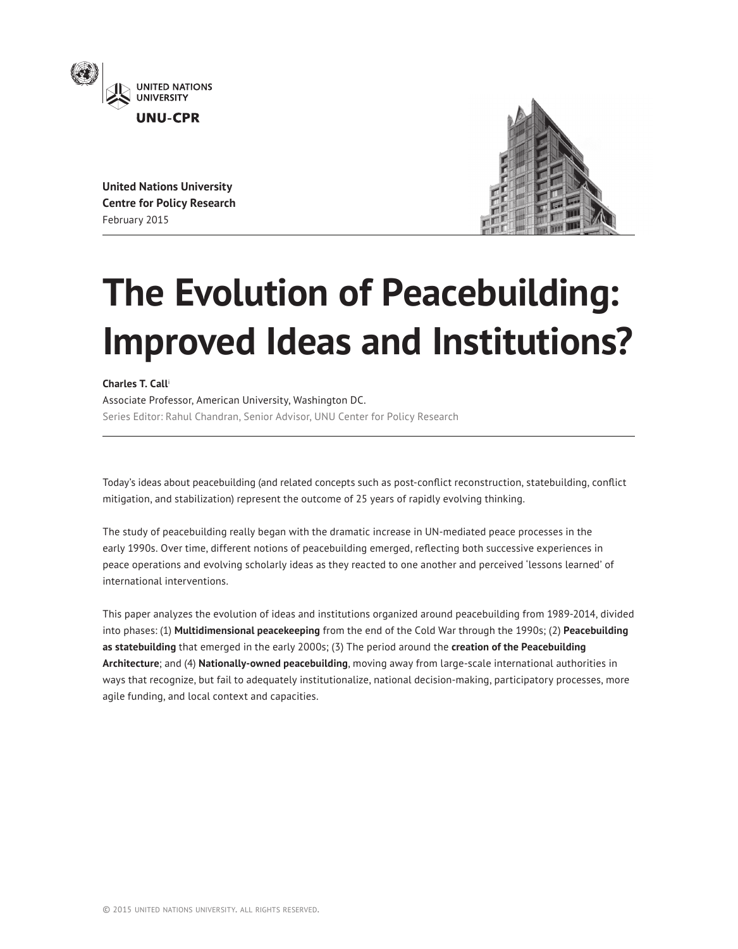

**United Nations University Centre for Policy Research** February 2015



# **The Evolution of Peacebuilding: Improved Ideas and Institutions?**

## **Charles T. Call**<sup>i</sup>

Associate Professor, American University, Washington DC. Series Editor: Rahul Chandran, Senior Advisor, UNU Center for Policy Research

Today's ideas about peacebuilding (and related concepts such as post-conflict reconstruction, statebuilding, conflict mitigation, and stabilization) represent the outcome of 25 years of rapidly evolving thinking.

The study of peacebuilding really began with the dramatic increase in UN-mediated peace processes in the early 1990s. Over time, different notions of peacebuilding emerged, reflecting both successive experiences in peace operations and evolving scholarly ideas as they reacted to one another and perceived 'lessons learned' of international interventions.

This paper analyzes the evolution of ideas and institutions organized around peacebuilding from 1989-2014, divided into phases: (1) **Multidimensional peacekeeping** from the end of the Cold War through the 1990s; (2) **Peacebuilding as statebuilding** that emerged in the early 2000s; (3) The period around the **creation of the Peacebuilding Architecture**; and (4) **Nationally-owned peacebuilding**, moving away from large-scale international authorities in ways that recognize, but fail to adequately institutionalize, national decision-making, participatory processes, more agile funding, and local context and capacities.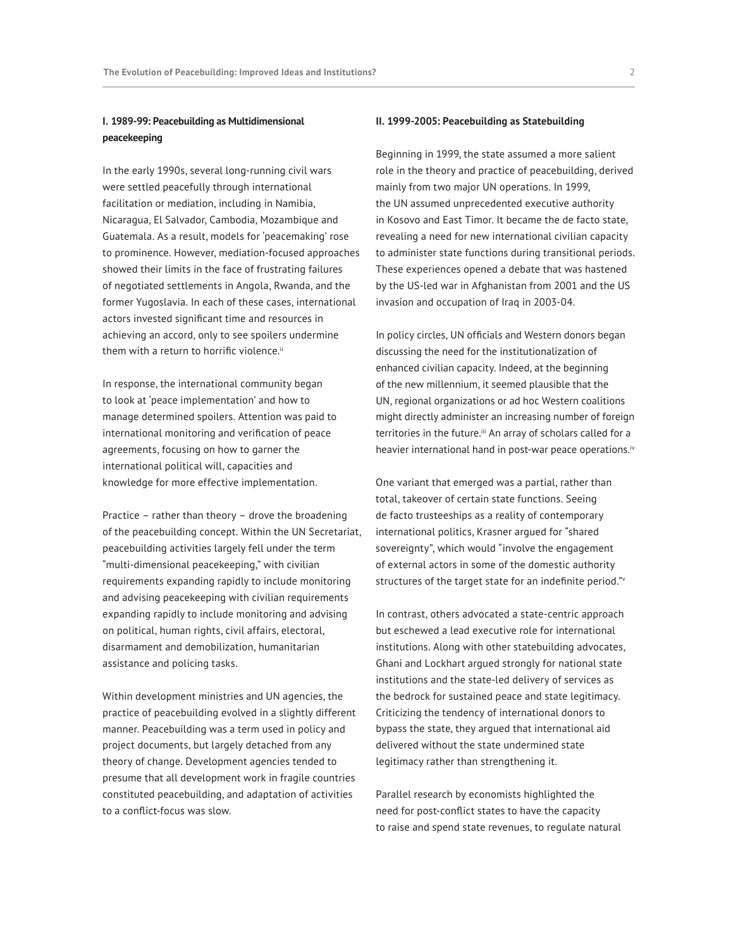## **I. 1989-99: Peacebuilding as Multidimensional peacekeeping**

In the early 1990s, several long-running civil wars were settled peacefully through international facilitation or mediation, including in Namibia, Nicaragua, El Salvador, Cambodia, Mozambique and Guatemala. As a result, models for 'peacemaking' rose to prominence. However, mediation-focused approaches showed their limits in the face of frustrating failures of negotiated settlements in Angola, Rwanda, and the former Yugoslavia. In each of these cases, international actors invested significant time and resources in achieving an accord, only to see spoilers undermine them with a return to horrific violence.<sup>ii</sup>

In response, the international community began to look at 'peace implementation' and how to manage determined spoilers. Attention was paid to international monitoring and verification of peace agreements, focusing on how to garner the international political will, capacities and knowledge for more effective implementation.

Practice – rather than theory – drove the broadening of the peacebuilding concept. Within the UN Secretariat, peacebuilding activities largely fell under the term "multi-dimensional peacekeeping," with civilian requirements expanding rapidly to include monitoring and advising peacekeeping with civilian requirements expanding rapidly to include monitoring and advising on political, human rights, civil affairs, electoral, disarmament and demobilization, humanitarian assistance and policing tasks.

Within development ministries and UN agencies, the practice of peacebuilding evolved in a slightly different manner. Peacebuilding was a term used in policy and project documents, but largely detached from any theory of change. Development agencies tended to presume that all development work in fragile countries constituted peacebuilding, and adaptation of activities to a conflict-focus was slow.

#### **II. 1999-2005: Peacebuilding as Statebuilding**

Beginning in 1999, the state assumed a more salient role in the theory and practice of peacebuilding, derived mainly from two major UN operations. In 1999, the UN assumed unprecedented executive authority in Kosovo and East Timor. It became the de facto state, revealing a need for new international civilian capacity to administer state functions during transitional periods. These experiences opened a debate that was hastened by the US-led war in Afghanistan from 2001 and the US invasion and occupation of Iraq in 2003-04.

In policy circles, UN officials and Western donors began discussing the need for the institutionalization of enhanced civilian capacity. Indeed, at the beginning of the new millennium, it seemed plausible that the UN, regional organizations or ad hoc Western coalitions might directly administer an increasing number of foreign territories in the future.<sup>iii</sup> An array of scholars called for a heavier international hand in post-war peace operations.<sup>iv</sup>

One variant that emerged was a partial, rather than total, takeover of certain state functions. Seeing de facto trusteeships as a reality of contemporary international politics, Krasner argued for "shared sovereignty", which would "involve the engagement of external actors in some of the domestic authority structures of the target state for an indefinite period."<sup>v</sup>

In contrast, others advocated a state-centric approach but eschewed a lead executive role for international institutions. Along with other statebuilding advocates, Ghani and Lockhart argued strongly for national state institutions and the state-led delivery of services as the bedrock for sustained peace and state legitimacy. Criticizing the tendency of international donors to bypass the state, they argued that international aid delivered without the state undermined state legitimacy rather than strengthening it.

Parallel research by economists highlighted the need for post-conflict states to have the capacity to raise and spend state revenues, to regulate natural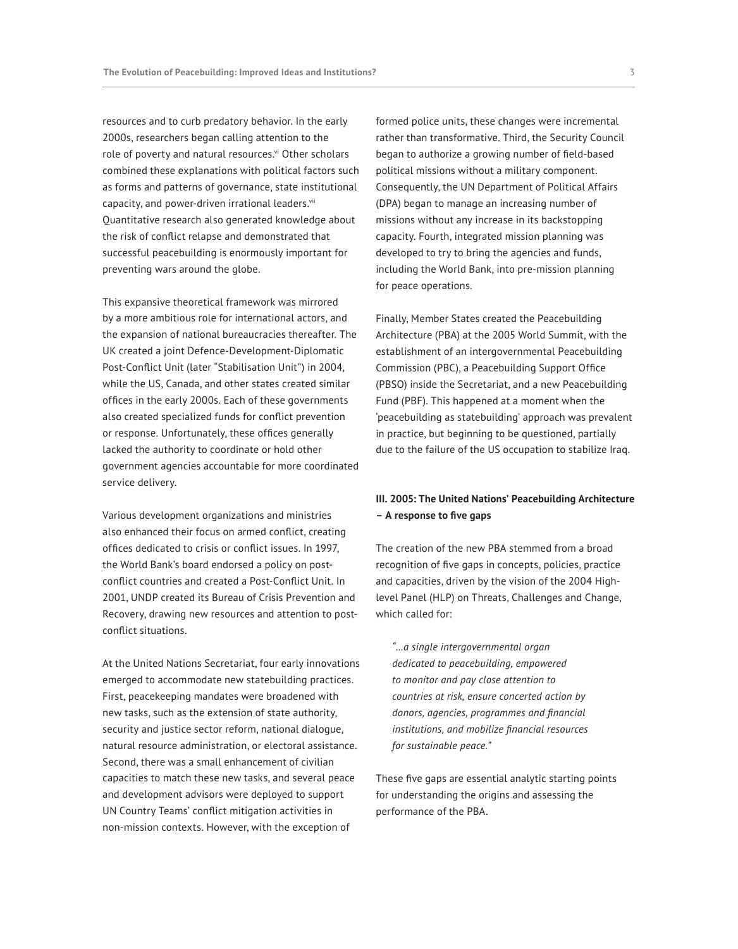resources and to curb predatory behavior. In the early 2000s, researchers began calling attention to the role of poverty and natural resources.<sup>vi</sup> Other scholars combined these explanations with political factors such as forms and patterns of governance, state institutional capacity, and power-driven irrational leaders.<sup>vii</sup> Quantitative research also generated knowledge about the risk of conflict relapse and demonstrated that successful peacebuilding is enormously important for preventing wars around the globe.

This expansive theoretical framework was mirrored by a more ambitious role for international actors, and the expansion of national bureaucracies thereafter. The UK created a joint Defence-Development-Diplomatic Post-Conflict Unit (later "Stabilisation Unit") in 2004, while the US, Canada, and other states created similar offices in the early 2000s. Each of these governments also created specialized funds for conflict prevention or response. Unfortunately, these offices generally lacked the authority to coordinate or hold other government agencies accountable for more coordinated service delivery.

Various development organizations and ministries also enhanced their focus on armed conflict, creating offices dedicated to crisis or conflict issues. In 1997, the World Bank's board endorsed a policy on postconflict countries and created a Post-Conflict Unit. In 2001, UNDP created its Bureau of Crisis Prevention and Recovery, drawing new resources and attention to postconflict situations.

At the United Nations Secretariat, four early innovations emerged to accommodate new statebuilding practices. First, peacekeeping mandates were broadened with new tasks, such as the extension of state authority, security and justice sector reform, national dialogue, natural resource administration, or electoral assistance. Second, there was a small enhancement of civilian capacities to match these new tasks, and several peace and development advisors were deployed to support UN Country Teams' conflict mitigation activities in non-mission contexts. However, with the exception of

formed police units, these changes were incremental rather than transformative. Third, the Security Council began to authorize a growing number of field-based political missions without a military component. Consequently, the UN Department of Political Affairs (DPA) began to manage an increasing number of missions without any increase in its backstopping capacity. Fourth, integrated mission planning was developed to try to bring the agencies and funds, including the World Bank, into pre-mission planning for peace operations.

Finally, Member States created the Peacebuilding Architecture (PBA) at the 2005 World Summit, with the establishment of an intergovernmental Peacebuilding Commission (PBC), a Peacebuilding Support Office (PBSO) inside the Secretariat, and a new Peacebuilding Fund (PBF). This happened at a moment when the 'peacebuilding as statebuilding' approach was prevalent in practice, but beginning to be questioned, partially due to the failure of the US occupation to stabilize Iraq.

## **III. 2005: The United Nations' Peacebuilding Architecture – A response to five gaps**

The creation of the new PBA stemmed from a broad recognition of five gaps in concepts, policies, practice and capacities, driven by the vision of the 2004 Highlevel Panel (HLP) on Threats, Challenges and Change, which called for:

*"…a single intergovernmental organ dedicated to peacebuilding, empowered to monitor and pay close attention to countries at risk, ensure concerted action by donors, agencies, programmes and financial institutions, and mobilize financial resources for sustainable peace."* 

These five gaps are essential analytic starting points for understanding the origins and assessing the performance of the PBA.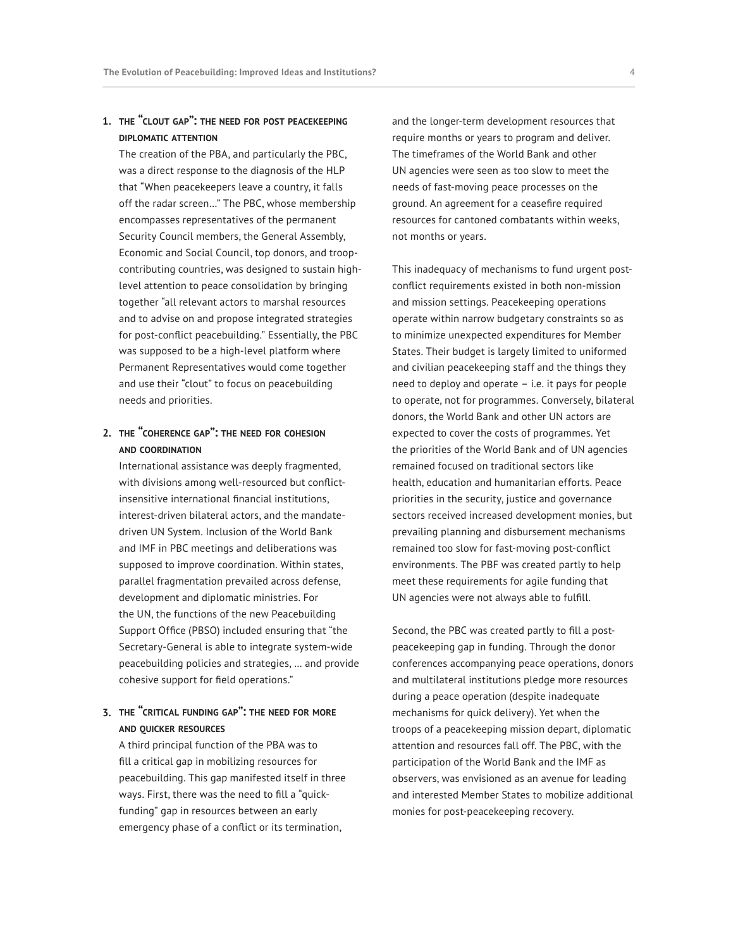## **1. the "clout gap": the need for post peacekeeping diplomatic attention**

The creation of the PBA, and particularly the PBC, was a direct response to the diagnosis of the HLP that "When peacekeepers leave a country, it falls off the radar screen…" The PBC, whose membership encompasses representatives of the permanent Security Council members, the General Assembly, Economic and Social Council, top donors, and troopcontributing countries, was designed to sustain highlevel attention to peace consolidation by bringing together "all relevant actors to marshal resources and to advise on and propose integrated strategies for post-conflict peacebuilding." Essentially, the PBC was supposed to be a high-level platform where Permanent Representatives would come together and use their "clout" to focus on peacebuilding needs and priorities.

# **2. the "coherence gap": the need for cohesion and coordination**

International assistance was deeply fragmented, with divisions among well-resourced but conflictinsensitive international financial institutions, interest-driven bilateral actors, and the mandatedriven UN System. Inclusion of the World Bank and IMF in PBC meetings and deliberations was supposed to improve coordination. Within states, parallel fragmentation prevailed across defense, development and diplomatic ministries. For the UN, the functions of the new Peacebuilding Support Office (PBSO) included ensuring that "the Secretary-General is able to integrate system-wide peacebuilding policies and strategies, … and provide cohesive support for field operations."

# **3. the "critical funding gap": the need for more and quicker resources**

A third principal function of the PBA was to fill a critical gap in mobilizing resources for peacebuilding. This gap manifested itself in three ways. First, there was the need to fill a "quickfunding" gap in resources between an early emergency phase of a conflict or its termination,

and the longer-term development resources that require months or years to program and deliver. The timeframes of the World Bank and other UN agencies were seen as too slow to meet the needs of fast-moving peace processes on the ground. An agreement for a ceasefire required resources for cantoned combatants within weeks, not months or years.

This inadequacy of mechanisms to fund urgent postconflict requirements existed in both non-mission and mission settings. Peacekeeping operations operate within narrow budgetary constraints so as to minimize unexpected expenditures for Member States. Their budget is largely limited to uniformed and civilian peacekeeping staff and the things they need to deploy and operate – i.e. it pays for people to operate, not for programmes. Conversely, bilateral donors, the World Bank and other UN actors are expected to cover the costs of programmes. Yet the priorities of the World Bank and of UN agencies remained focused on traditional sectors like health, education and humanitarian efforts. Peace priorities in the security, justice and governance sectors received increased development monies, but prevailing planning and disbursement mechanisms remained too slow for fast-moving post-conflict environments. The PBF was created partly to help meet these requirements for agile funding that UN agencies were not always able to fulfill.

Second, the PBC was created partly to fill a postpeacekeeping gap in funding. Through the donor conferences accompanying peace operations, donors and multilateral institutions pledge more resources during a peace operation (despite inadequate mechanisms for quick delivery). Yet when the troops of a peacekeeping mission depart, diplomatic attention and resources fall off. The PBC, with the participation of the World Bank and the IMF as observers, was envisioned as an avenue for leading and interested Member States to mobilize additional monies for post-peacekeeping recovery.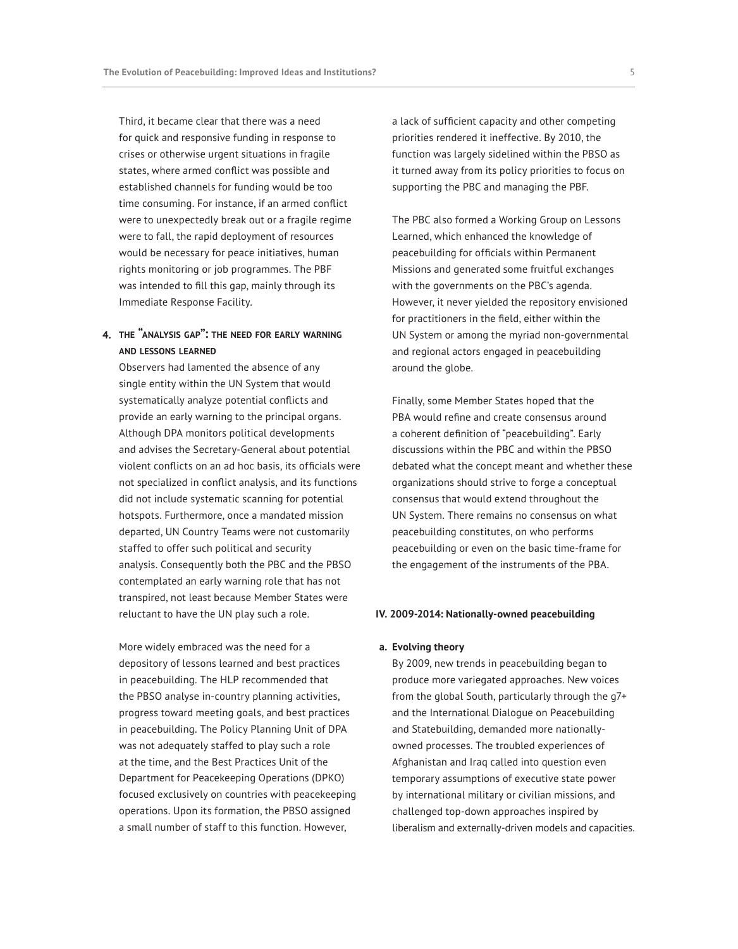Third, it became clear that there was a need for quick and responsive funding in response to crises or otherwise urgent situations in fragile states, where armed conflict was possible and established channels for funding would be too time consuming. For instance, if an armed conflict were to unexpectedly break out or a fragile regime were to fall, the rapid deployment of resources would be necessary for peace initiatives, human rights monitoring or job programmes. The PBF was intended to fill this gap, mainly through its Immediate Response Facility.

# **4. the "analysis gap": the need for early warning and lessons learned**

Observers had lamented the absence of any single entity within the UN System that would systematically analyze potential conflicts and provide an early warning to the principal organs. Although DPA monitors political developments and advises the Secretary-General about potential violent conflicts on an ad hoc basis, its officials were not specialized in conflict analysis, and its functions did not include systematic scanning for potential hotspots. Furthermore, once a mandated mission departed, UN Country Teams were not customarily staffed to offer such political and security analysis. Consequently both the PBC and the PBSO contemplated an early warning role that has not transpired, not least because Member States were reluctant to have the UN play such a role.

More widely embraced was the need for a depository of lessons learned and best practices in peacebuilding. The HLP recommended that the PBSO analyse in-country planning activities, progress toward meeting goals, and best practices in peacebuilding. The Policy Planning Unit of DPA was not adequately staffed to play such a role at the time, and the Best Practices Unit of the Department for Peacekeeping Operations (DPKO) focused exclusively on countries with peacekeeping operations. Upon its formation, the PBSO assigned a small number of staff to this function. However,

a lack of sufficient capacity and other competing priorities rendered it ineffective. By 2010, the function was largely sidelined within the PBSO as it turned away from its policy priorities to focus on supporting the PBC and managing the PBF.

The PBC also formed a Working Group on Lessons Learned, which enhanced the knowledge of peacebuilding for officials within Permanent Missions and generated some fruitful exchanges with the governments on the PBC's agenda. However, it never yielded the repository envisioned for practitioners in the field, either within the UN System or among the myriad non-governmental and regional actors engaged in peacebuilding around the globe.

Finally, some Member States hoped that the PBA would refine and create consensus around a coherent definition of "peacebuilding". Early discussions within the PBC and within the PBSO debated what the concept meant and whether these organizations should strive to forge a conceptual consensus that would extend throughout the UN System. There remains no consensus on what peacebuilding constitutes, on who performs peacebuilding or even on the basic time-frame for the engagement of the instruments of the PBA.

### **IV. 2009-2014: Nationally-owned peacebuilding**

#### **a. Evolving theory**

By 2009, new trends in peacebuilding began to produce more variegated approaches. New voices from the global South, particularly through the g7+ and the International Dialogue on Peacebuilding and Statebuilding, demanded more nationallyowned processes. The troubled experiences of Afghanistan and Iraq called into question even temporary assumptions of executive state power by international military or civilian missions, and challenged top-down approaches inspired by liberalism and externally-driven models and capacities.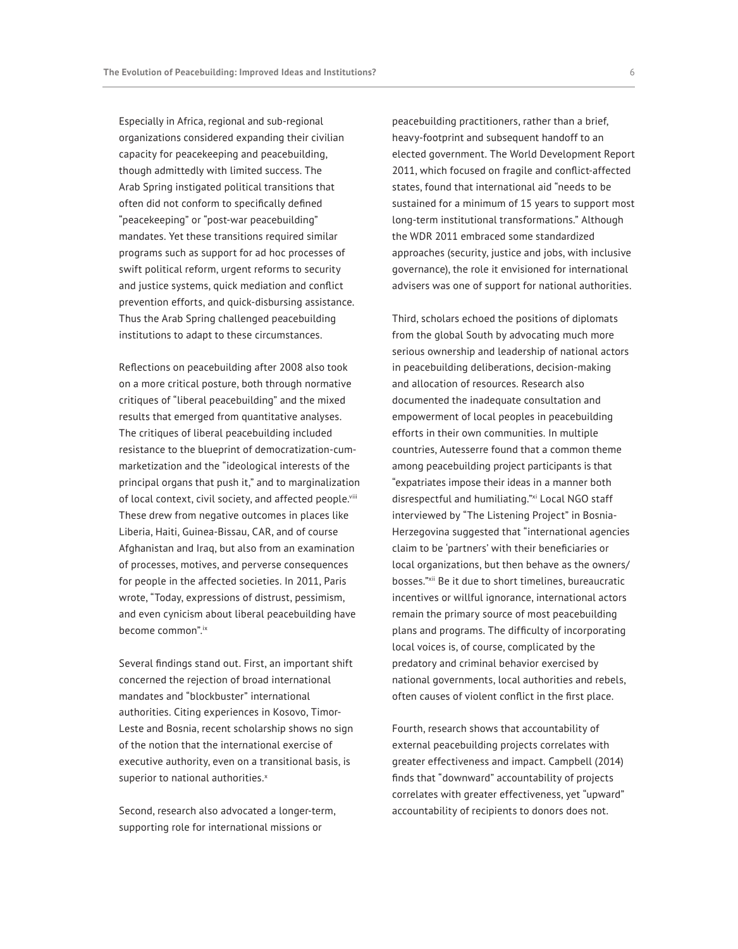Especially in Africa, regional and sub-regional organizations considered expanding their civilian capacity for peacekeeping and peacebuilding, though admittedly with limited success. The Arab Spring instigated political transitions that often did not conform to specifically defined "peacekeeping" or "post-war peacebuilding" mandates. Yet these transitions required similar programs such as support for ad hoc processes of swift political reform, urgent reforms to security and justice systems, quick mediation and conflict prevention efforts, and quick-disbursing assistance. Thus the Arab Spring challenged peacebuilding institutions to adapt to these circumstances.

Reflections on peacebuilding after 2008 also took on a more critical posture, both through normative critiques of "liberal peacebuilding" and the mixed results that emerged from quantitative analyses. The critiques of liberal peacebuilding included resistance to the blueprint of democratization-cummarketization and the "ideological interests of the principal organs that push it," and to marginalization of local context, civil society, and affected people. Viii These drew from negative outcomes in places like Liberia, Haiti, Guinea-Bissau, CAR, and of course Afghanistan and Iraq, but also from an examination of processes, motives, and perverse consequences for people in the affected societies. In 2011, Paris wrote, "Today, expressions of distrust, pessimism, and even cynicism about liberal peacebuilding have become common".ix

Several findings stand out. First, an important shift concerned the rejection of broad international mandates and "blockbuster" international authorities. Citing experiences in Kosovo, Timor-Leste and Bosnia, recent scholarship shows no sign of the notion that the international exercise of executive authority, even on a transitional basis, is superior to national authorities.<sup>x</sup>

Second, research also advocated a longer-term, supporting role for international missions or

peacebuilding practitioners, rather than a brief, heavy-footprint and subsequent handoff to an elected government. The World Development Report 2011, which focused on fragile and conflict-affected states, found that international aid "needs to be sustained for a minimum of 15 years to support most long-term institutional transformations." Although the WDR 2011 embraced some standardized approaches (security, justice and jobs, with inclusive governance), the role it envisioned for international advisers was one of support for national authorities.

Third, scholars echoed the positions of diplomats from the global South by advocating much more serious ownership and leadership of national actors in peacebuilding deliberations, decision-making and allocation of resources. Research also documented the inadequate consultation and empowerment of local peoples in peacebuilding efforts in their own communities. In multiple countries, Autesserre found that a common theme among peacebuilding project participants is that "expatriates impose their ideas in a manner both disrespectful and humiliating."xi Local NGO staff interviewed by "The Listening Project" in Bosnia-Herzegovina suggested that "international agencies claim to be 'partners' with their beneficiaries or local organizations, but then behave as the owners/ bosses."xii Be it due to short timelines, bureaucratic incentives or willful ignorance, international actors remain the primary source of most peacebuilding plans and programs. The difficulty of incorporating local voices is, of course, complicated by the predatory and criminal behavior exercised by national governments, local authorities and rebels, often causes of violent conflict in the first place.

Fourth, research shows that accountability of external peacebuilding projects correlates with greater effectiveness and impact. Campbell (2014) finds that "downward" accountability of projects correlates with greater effectiveness, yet "upward" accountability of recipients to donors does not.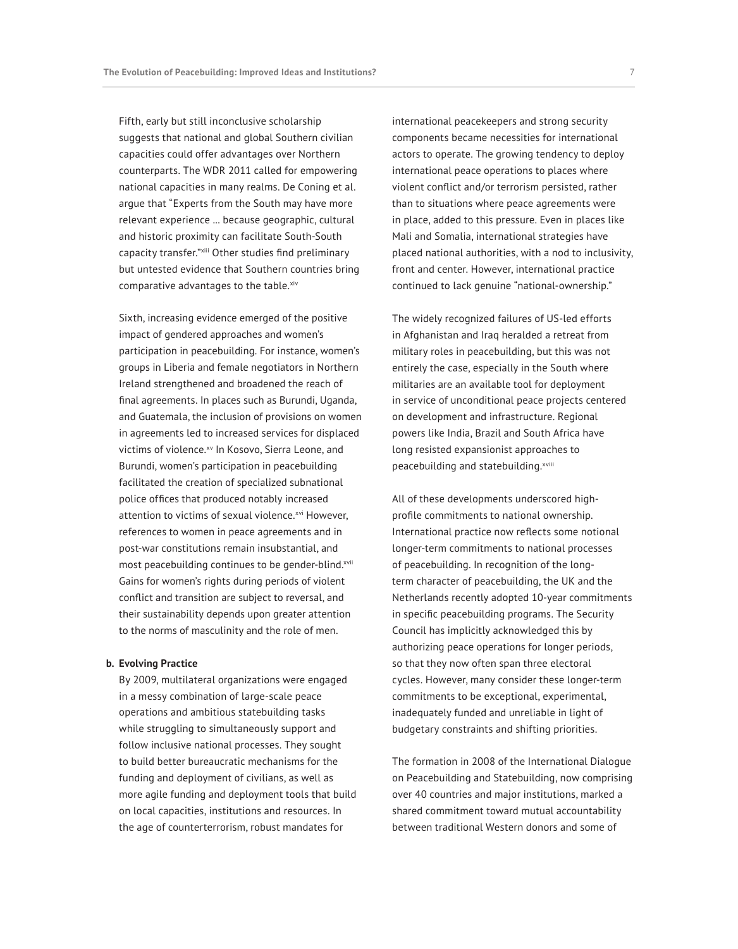Fifth, early but still inconclusive scholarship suggests that national and global Southern civilian capacities could offer advantages over Northern counterparts. The WDR 2011 called for empowering national capacities in many realms. De Coning et al. argue that "Experts from the South may have more relevant experience ... because geographic, cultural and historic proximity can facilitate South-South capacity transfer."xiii Other studies find preliminary but untested evidence that Southern countries bring comparative advantages to the table.<sup>xiv</sup>

Sixth, increasing evidence emerged of the positive impact of gendered approaches and women's participation in peacebuilding. For instance, women's groups in Liberia and female negotiators in Northern Ireland strengthened and broadened the reach of final agreements. In places such as Burundi, Uganda, and Guatemala, the inclusion of provisions on women in agreements led to increased services for displaced victims of violence.xv In Kosovo, Sierra Leone, and Burundi, women's participation in peacebuilding facilitated the creation of specialized subnational police offices that produced notably increased attention to victims of sexual violence.<sup>xvi</sup> However, references to women in peace agreements and in post-war constitutions remain insubstantial, and most peacebuilding continues to be gender-blind. xvii Gains for women's rights during periods of violent conflict and transition are subject to reversal, and their sustainability depends upon greater attention to the norms of masculinity and the role of men.

#### **b. Evolving Practice**

By 2009, multilateral organizations were engaged in a messy combination of large-scale peace operations and ambitious statebuilding tasks while struggling to simultaneously support and follow inclusive national processes. They sought to build better bureaucratic mechanisms for the funding and deployment of civilians, as well as more agile funding and deployment tools that build on local capacities, institutions and resources. In the age of counterterrorism, robust mandates for

international peacekeepers and strong security components became necessities for international actors to operate. The growing tendency to deploy international peace operations to places where violent conflict and/or terrorism persisted, rather than to situations where peace agreements were in place, added to this pressure. Even in places like Mali and Somalia, international strategies have placed national authorities, with a nod to inclusivity, front and center. However, international practice continued to lack genuine "national-ownership."

The widely recognized failures of US-led efforts in Afghanistan and Iraq heralded a retreat from military roles in peacebuilding, but this was not entirely the case, especially in the South where militaries are an available tool for deployment in service of unconditional peace projects centered on development and infrastructure. Regional powers like India, Brazil and South Africa have long resisted expansionist approaches to peacebuilding and statebuilding.<sup>xviii</sup>

All of these developments underscored highprofile commitments to national ownership. International practice now reflects some notional longer-term commitments to national processes of peacebuilding. In recognition of the longterm character of peacebuilding, the UK and the Netherlands recently adopted 10-year commitments in specific peacebuilding programs. The Security Council has implicitly acknowledged this by authorizing peace operations for longer periods, so that they now often span three electoral cycles. However, many consider these longer-term commitments to be exceptional, experimental, inadequately funded and unreliable in light of budgetary constraints and shifting priorities.

The formation in 2008 of the International Dialogue on Peacebuilding and Statebuilding, now comprising over 40 countries and major institutions, marked a shared commitment toward mutual accountability between traditional Western donors and some of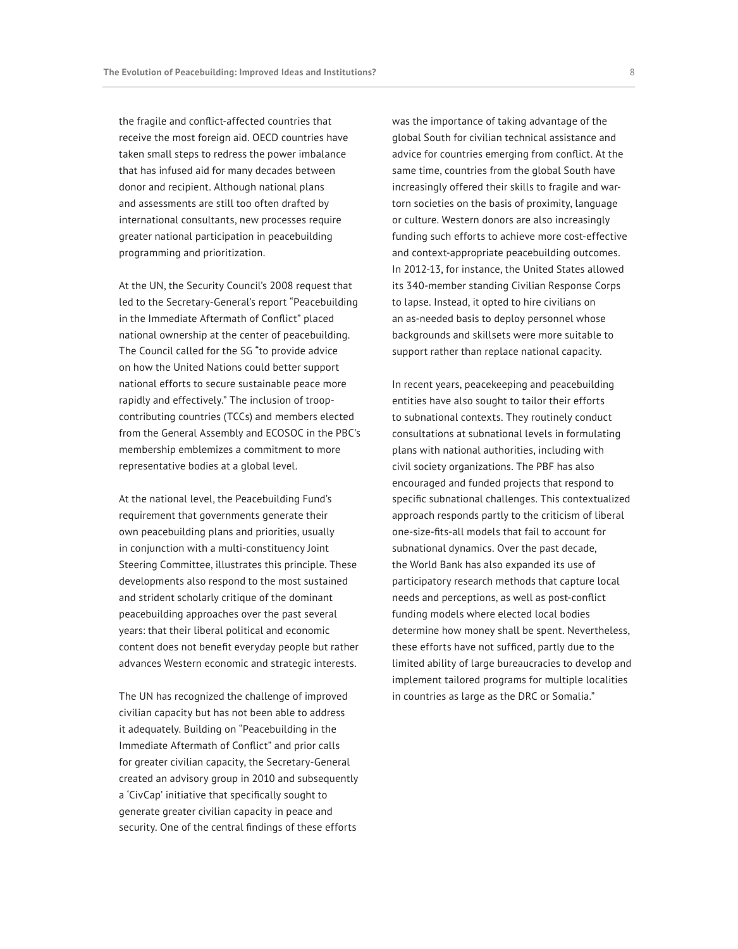the fragile and conflict-affected countries that receive the most foreign aid. OECD countries have taken small steps to redress the power imbalance that has infused aid for many decades between donor and recipient. Although national plans and assessments are still too often drafted by international consultants, new processes require greater national participation in peacebuilding programming and prioritization.

At the UN, the Security Council's 2008 request that led to the Secretary-General's report "Peacebuilding in the Immediate Aftermath of Conflict" placed national ownership at the center of peacebuilding. The Council called for the SG "to provide advice on how the United Nations could better support national efforts to secure sustainable peace more rapidly and effectively." The inclusion of troopcontributing countries (TCCs) and members elected from the General Assembly and ECOSOC in the PBC's membership emblemizes a commitment to more representative bodies at a global level.

At the national level, the Peacebuilding Fund's requirement that governments generate their own peacebuilding plans and priorities, usually in conjunction with a multi-constituency Joint Steering Committee, illustrates this principle. These developments also respond to the most sustained and strident scholarly critique of the dominant peacebuilding approaches over the past several years: that their liberal political and economic content does not benefit everyday people but rather advances Western economic and strategic interests.

The UN has recognized the challenge of improved civilian capacity but has not been able to address it adequately. Building on "Peacebuilding in the Immediate Aftermath of Conflict" and prior calls for greater civilian capacity, the Secretary-General created an advisory group in 2010 and subsequently a 'CivCap' initiative that specifically sought to generate greater civilian capacity in peace and security. One of the central findings of these efforts

was the importance of taking advantage of the global South for civilian technical assistance and advice for countries emerging from conflict. At the same time, countries from the global South have increasingly offered their skills to fragile and wartorn societies on the basis of proximity, language or culture. Western donors are also increasingly funding such efforts to achieve more cost-effective and context-appropriate peacebuilding outcomes. In 2012-13, for instance, the United States allowed its 340-member standing Civilian Response Corps to lapse. Instead, it opted to hire civilians on an as-needed basis to deploy personnel whose backgrounds and skillsets were more suitable to support rather than replace national capacity.

In recent years, peacekeeping and peacebuilding entities have also sought to tailor their efforts to subnational contexts. They routinely conduct consultations at subnational levels in formulating plans with national authorities, including with civil society organizations. The PBF has also encouraged and funded projects that respond to specific subnational challenges. This contextualized approach responds partly to the criticism of liberal one-size-fits-all models that fail to account for subnational dynamics. Over the past decade, the World Bank has also expanded its use of participatory research methods that capture local needs and perceptions, as well as post-conflict funding models where elected local bodies determine how money shall be spent. Nevertheless, these efforts have not sufficed, partly due to the limited ability of large bureaucracies to develop and implement tailored programs for multiple localities in countries as large as the DRC or Somalia."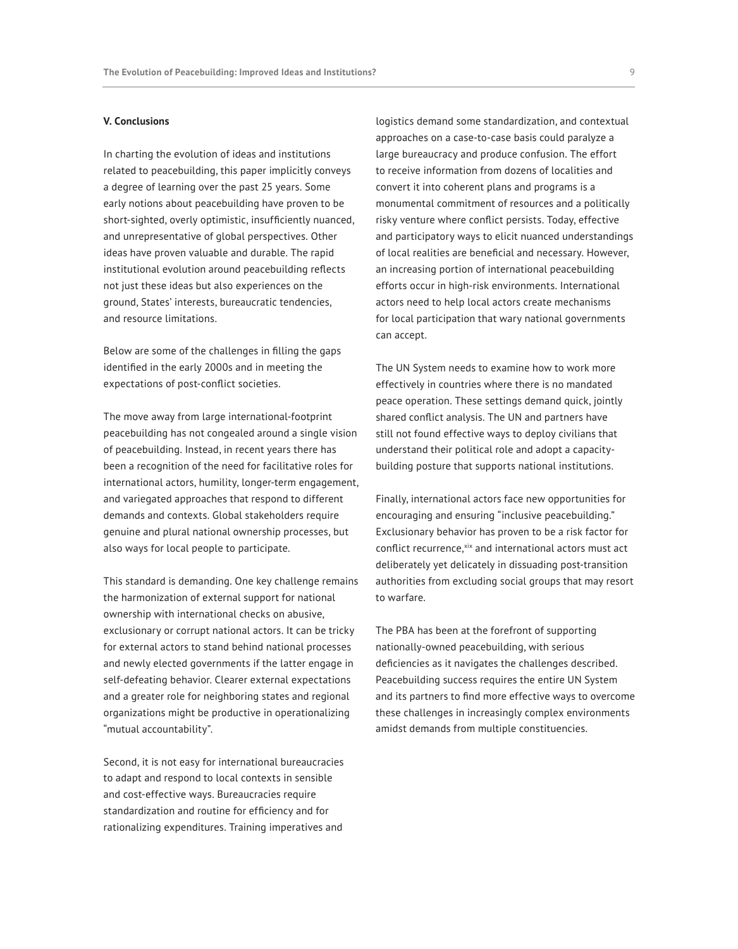## **V. Conclusions**

In charting the evolution of ideas and institutions related to peacebuilding, this paper implicitly conveys a degree of learning over the past 25 years. Some early notions about peacebuilding have proven to be short-sighted, overly optimistic, insufficiently nuanced, and unrepresentative of global perspectives. Other ideas have proven valuable and durable. The rapid institutional evolution around peacebuilding reflects not just these ideas but also experiences on the ground, States' interests, bureaucratic tendencies, and resource limitations.

Below are some of the challenges in filling the gaps identified in the early 2000s and in meeting the expectations of post-conflict societies.

The move away from large international-footprint peacebuilding has not congealed around a single vision of peacebuilding. Instead, in recent years there has been a recognition of the need for facilitative roles for international actors, humility, longer-term engagement, and variegated approaches that respond to different demands and contexts. Global stakeholders require genuine and plural national ownership processes, but also ways for local people to participate.

This standard is demanding. One key challenge remains the harmonization of external support for national ownership with international checks on abusive, exclusionary or corrupt national actors. It can be tricky for external actors to stand behind national processes and newly elected governments if the latter engage in self-defeating behavior. Clearer external expectations and a greater role for neighboring states and regional organizations might be productive in operationalizing "mutual accountability".

Second, it is not easy for international bureaucracies to adapt and respond to local contexts in sensible and cost-effective ways. Bureaucracies require standardization and routine for efficiency and for rationalizing expenditures. Training imperatives and

logistics demand some standardization, and contextual approaches on a case-to-case basis could paralyze a large bureaucracy and produce confusion. The effort to receive information from dozens of localities and convert it into coherent plans and programs is a monumental commitment of resources and a politically risky venture where conflict persists. Today, effective and participatory ways to elicit nuanced understandings of local realities are beneficial and necessary. However, an increasing portion of international peacebuilding efforts occur in high-risk environments. International actors need to help local actors create mechanisms for local participation that wary national governments can accept.

The UN System needs to examine how to work more effectively in countries where there is no mandated peace operation. These settings demand quick, jointly shared conflict analysis. The UN and partners have still not found effective ways to deploy civilians that understand their political role and adopt a capacitybuilding posture that supports national institutions.

Finally, international actors face new opportunities for encouraging and ensuring "inclusive peacebuilding." Exclusionary behavior has proven to be a risk factor for conflict recurrence, xix and international actors must act deliberately yet delicately in dissuading post-transition authorities from excluding social groups that may resort to warfare.

The PBA has been at the forefront of supporting nationally-owned peacebuilding, with serious deficiencies as it navigates the challenges described. Peacebuilding success requires the entire UN System and its partners to find more effective ways to overcome these challenges in increasingly complex environments amidst demands from multiple constituencies.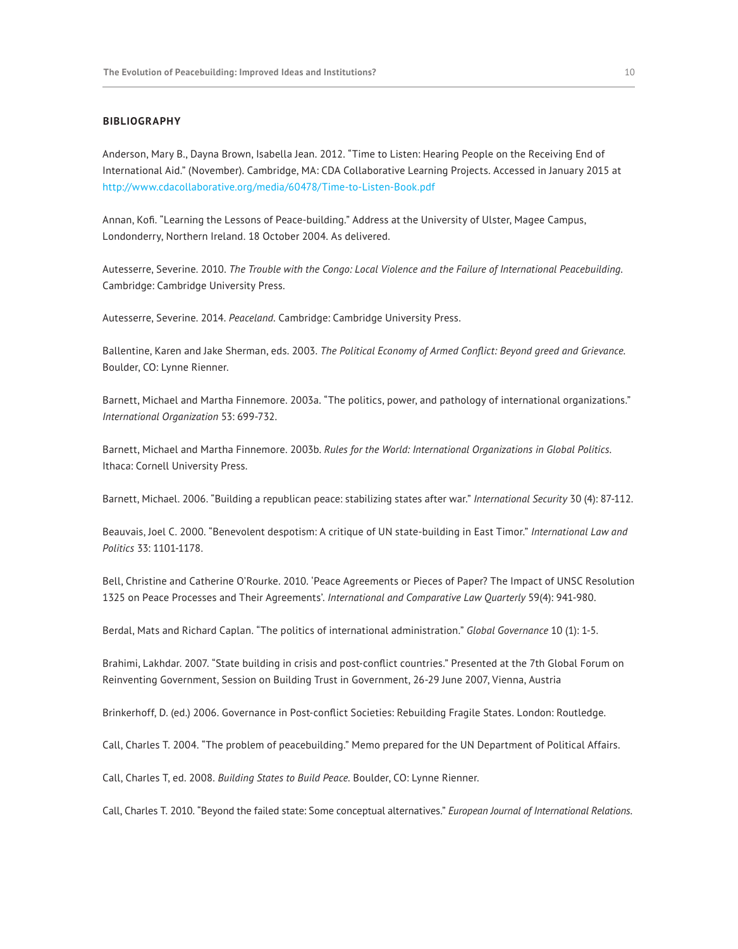#### **BIBLIOGRAPHY**

Anderson, Mary B., Dayna Brown, Isabella Jean. 2012. "Time to Listen: Hearing People on the Receiving End of International Aid." (November). Cambridge, MA: CDA Collaborative Learning Projects. Accessed in January 2015 at [http://www.cdacollaborative.org/media/60478/Time-to-Listen-Book.pdf](http://www.cdacollaborative.org/media/60478/Time-to-Listen-Book.pdf%0D)

Annan, Kofi. "Learning the Lessons of Peace-building." Address at the University of Ulster, Magee Campus, Londonderry, Northern Ireland. 18 October 2004. As delivered.

Autesserre, Severine. 2010. *The Trouble with the Congo: Local Violence and the Failure of International Peacebuilding.* Cambridge: Cambridge University Press.

Autesserre, Severine. 2014. *Peaceland.* Cambridge: Cambridge University Press.

Ballentine, Karen and Jake Sherman, eds. 2003. *The Political Economy of Armed Conflict: Beyond greed and Grievance.* Boulder, CO: Lynne Rienner.

Barnett, Michael and Martha Finnemore. 2003a. "The politics, power, and pathology of international organizations." *International Organization* 53: 699-732.

Barnett, Michael and Martha Finnemore. 2003b. *Rules for the World: International Organizations in Global Politics.* Ithaca: Cornell University Press.

Barnett, Michael. 2006. "Building a republican peace: stabilizing states after war." *International Security* 30 (4): 87-112.

Beauvais, Joel C. 2000. "Benevolent despotism: A critique of UN state-building in East Timor." *International Law and Politics* 33: 1101-1178.

Bell, Christine and Catherine O'Rourke. 2010. 'Peace Agreements or Pieces of Paper? The Impact of UNSC Resolution 1325 on Peace Processes and Their Agreements'. *International and Comparative Law Quarterly* 59(4): 941-980.

Berdal, Mats and Richard Caplan. "The politics of international administration." *Global Governance* 10 (1): 1-5.

Brahimi, Lakhdar. 2007. "State building in crisis and post-conflict countries." Presented at the 7th Global Forum on Reinventing Government, Session on Building Trust in Government, 26-29 June 2007, Vienna, Austria

Brinkerhoff, D. (ed.) 2006. Governance in Post-conflict Societies: Rebuilding Fragile States. London: Routledge.

Call, Charles T. 2004. "The problem of peacebuilding." Memo prepared for the UN Department of Political Affairs.

Call, Charles T, ed. 2008. *Building States to Build Peace.* Boulder, CO: Lynne Rienner.

Call, Charles T. 2010. "Beyond the failed state: Some conceptual alternatives." *European Journal of International Relations.*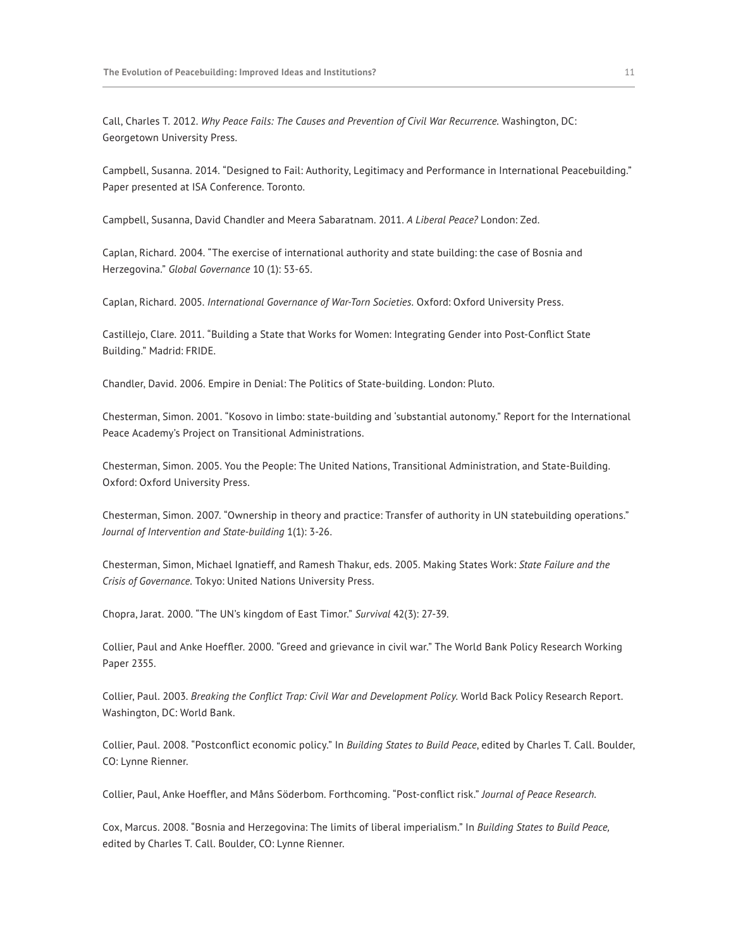Call, Charles T. 2012. *Why Peace Fails: The Causes and Prevention of Civil War Recurrence.* Washington, DC: Georgetown University Press.

Campbell, Susanna. 2014. "Designed to Fail: Authority, Legitimacy and Performance in International Peacebuilding." Paper presented at ISA Conference. Toronto.

Campbell, Susanna, David Chandler and Meera Sabaratnam. 2011. *A Liberal Peace?* London: Zed.

Caplan, Richard. 2004. "The exercise of international authority and state building: the case of Bosnia and Herzegovina." *Global Governance* 10 (1): 53-65.

Caplan, Richard. 2005. *International Governance of War-Torn Societies.* Oxford: Oxford University Press.

Castillejo, Clare. 2011. "Building a State that Works for Women: Integrating Gender into Post-Conflict State Building." Madrid: FRIDE.

Chandler, David. 2006. Empire in Denial: The Politics of State-building. London: Pluto.

Chesterman, Simon. 2001. "Kosovo in limbo: state-building and 'substantial autonomy." Report for the International Peace Academy's Project on Transitional Administrations.

Chesterman, Simon. 2005. You the People: The United Nations, Transitional Administration, and State-Building. Oxford: Oxford University Press.

Chesterman, Simon. 2007. "Ownership in theory and practice: Transfer of authority in UN statebuilding operations." *Journal of Intervention and State-building* 1(1): 3-26.

Chesterman, Simon, Michael Ignatieff, and Ramesh Thakur, eds. 2005. Making States Work: *State Failure and the Crisis of Governance.* Tokyo: United Nations University Press.

Chopra, Jarat. 2000. "The UN's kingdom of East Timor." *Survival* 42(3): 27-39.

Collier, Paul and Anke Hoeffler. 2000. "Greed and grievance in civil war." The World Bank Policy Research Working Paper 2355.

Collier, Paul. 2003. *Breaking the Conflict Trap: Civil War and Development Policy.* World Back Policy Research Report. Washington, DC: World Bank.

Collier, Paul. 2008. "Postconflict economic policy." In *Building States to Build Peace*, edited by Charles T. Call. Boulder, CO: Lynne Rienner.

Collier, Paul, Anke Hoeffler, and Måns Söderbom. Forthcoming. "Post-conflict risk." *Journal of Peace Research.*

Cox, Marcus. 2008. "Bosnia and Herzegovina: The limits of liberal imperialism." In *Building States to Build Peace,*  edited by Charles T. Call. Boulder, CO: Lynne Rienner.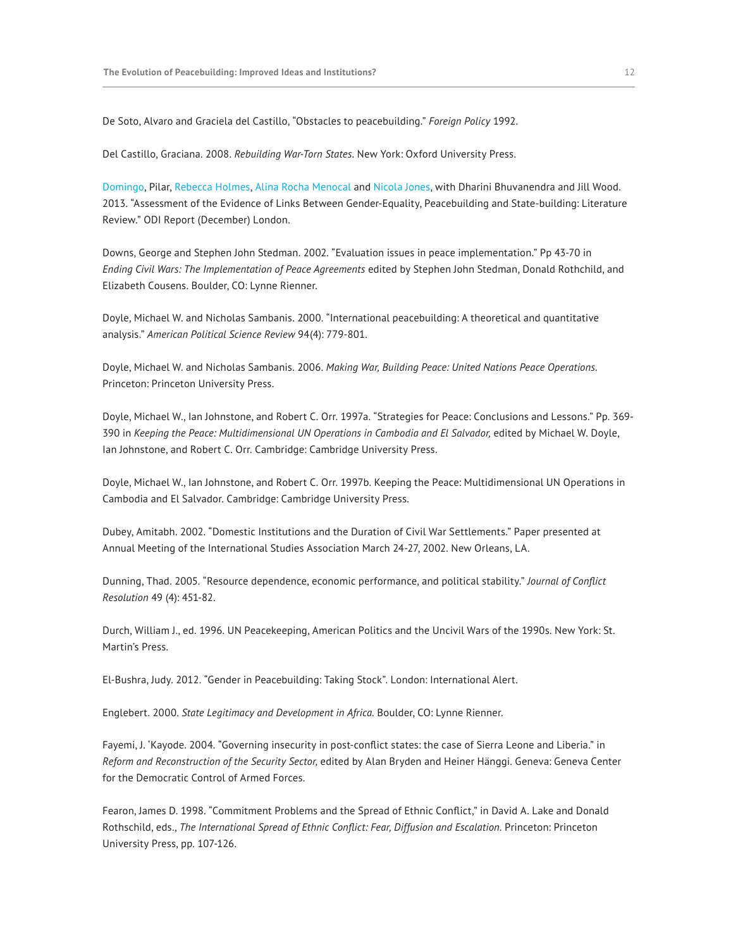De Soto, Alvaro and Graciela del Castillo, "Obstacles to peacebuilding." *Foreign Policy* 1992.

Del Castillo, Graciana. 2008. *Rebuilding War-Torn States.* New York: Oxford University Press.

[Domingo,](http://www.odi.org/experts/510-pilar-domingo) Pilar, [Rebecca Holmes](http://www.odi.org/experts/51-rebecca-holmes), [Alina Rocha Menocal](http://www.odi.org/experts/208-alina-rocha-menocal) and [Nicola Jones](http://www.odi.org/experts/171-nicola-jones), with Dharini Bhuvanendra and Jill Wood. 2013. "Assessment of the Evidence of Links Between Gender-Equality, Peacebuilding and State-building: Literature Review." ODI Report (December) London.

Downs, George and Stephen John Stedman. 2002. "Evaluation issues in peace implementation." Pp 43-70 in *Ending Civil Wars: The Implementation of Peace Agreements* edited by Stephen John Stedman, Donald Rothchild, and Elizabeth Cousens. Boulder, CO: Lynne Rienner.

Doyle, Michael W. and Nicholas Sambanis. 2000. "International peacebuilding: A theoretical and quantitative analysis." *American Political Science Review* 94(4): 779-801.

Doyle, Michael W. and Nicholas Sambanis. 2006. *Making War, Building Peace: United Nations Peace Operations.*  Princeton: Princeton University Press.

Doyle, Michael W., Ian Johnstone, and Robert C. Orr. 1997a. "Strategies for Peace: Conclusions and Lessons." Pp. 369- 390 in *Keeping the Peace: Multidimensional UN Operations in Cambodia and El Salvador,* edited by Michael W. Doyle, Ian Johnstone, and Robert C. Orr. Cambridge: Cambridge University Press.

Doyle, Michael W., Ian Johnstone, and Robert C. Orr. 1997b. Keeping the Peace: Multidimensional UN Operations in Cambodia and El Salvador. Cambridge: Cambridge University Press.

Dubey, Amitabh. 2002. "Domestic Institutions and the Duration of Civil War Settlements." Paper presented at Annual Meeting of the International Studies Association March 24-27, 2002. New Orleans, LA.

Dunning, Thad. 2005. "Resource dependence, economic performance, and political stability." *Journal of Conflict Resolution* 49 (4): 451-82.

Durch, William J., ed. 1996. UN Peacekeeping, American Politics and the Uncivil Wars of the 1990s. New York: St. Martin's Press.

El-Bushra, Judy. 2012. "Gender in Peacebuilding: Taking Stock". London: International Alert.

Englebert. 2000. *State Legitimacy and Development in Africa.* Boulder, CO: Lynne Rienner.

Fayemi, J. 'Kayode. 2004. "Governing insecurity in post-conflict states: the case of Sierra Leone and Liberia." in *Reform and Reconstruction of the Security Sector,* edited by Alan Bryden and Heiner Hänggi. Geneva: Geneva Center for the Democratic Control of Armed Forces.

Fearon, James D. 1998. "Commitment Problems and the Spread of Ethnic Conflict," in David A. Lake and Donald Rothschild, eds., *The International Spread of Ethnic Conflict: Fear, Diffusion and Escalation.* Princeton: Princeton University Press, pp. 107-126.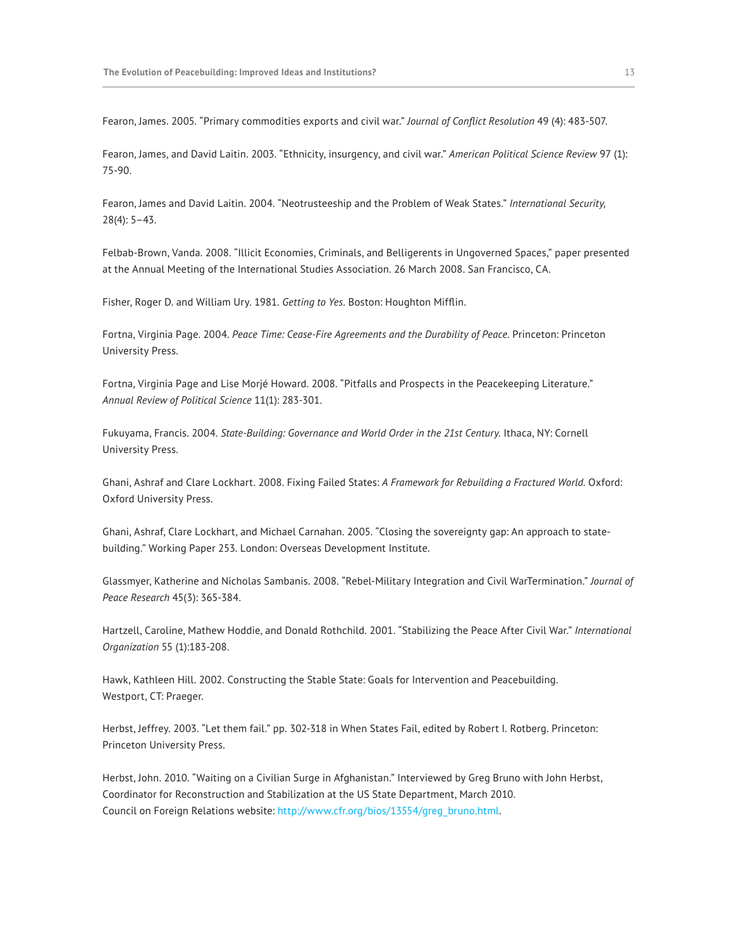Fearon, James. 2005. "Primary commodities exports and civil war." *Journal of Conflict Resolution* 49 (4): 483-507.

Fearon, James, and David Laitin. 2003. "Ethnicity, insurgency, and civil war." *American Political Science Review* 97 (1): 75-90.

Fearon, James and David Laitin. 2004. "Neotrusteeship and the Problem of Weak States." *International Security,* 28(4): 5–43.

Felbab-Brown, Vanda. 2008. "Illicit Economies, Criminals, and Belligerents in Ungoverned Spaces," paper presented at the Annual Meeting of the International Studies Association. 26 March 2008. San Francisco, CA.

Fisher, Roger D. and William Ury. 1981. *Getting to Yes.* Boston: Houghton Mifflin.

Fortna, Virginia Page. 2004. *Peace Time: Cease-Fire Agreements and the Durability of Peace.* Princeton: Princeton University Press.

Fortna, Virginia Page and Lise Morjé Howard. 2008. "Pitfalls and Prospects in the Peacekeeping Literature." *Annual Review of Political Science* 11(1): 283-301.

Fukuyama, Francis. 2004. *State-Building: Governance and World Order in the 21st Century.* Ithaca, NY: Cornell University Press.

Ghani, Ashraf and Clare Lockhart. 2008. Fixing Failed States: *A Framework for Rebuilding a Fractured World.* Oxford: Oxford University Press.

Ghani, Ashraf, Clare Lockhart, and Michael Carnahan. 2005. "Closing the sovereignty gap: An approach to statebuilding." Working Paper 253. London: Overseas Development Institute.

Glassmyer, Katherine and Nicholas Sambanis. 2008. "Rebel-Military Integration and Civil WarTermination." *Journal of Peace Research* 45(3): 365-384.

Hartzell, Caroline, Mathew Hoddie, and Donald Rothchild. 2001. "Stabilizing the Peace After Civil War." *International Organization* 55 (1):183-208.

Hawk, Kathleen Hill. 2002. Constructing the Stable State: Goals for Intervention and Peacebuilding. Westport, CT: Praeger.

Herbst, Jeffrey. 2003. "Let them fail." pp. 302-318 in When States Fail, edited by Robert I. Rotberg. Princeton: Princeton University Press.

Herbst, John. 2010. "Waiting on a Civilian Surge in Afghanistan." Interviewed by Greg Bruno with John Herbst, Coordinator for Reconstruction and Stabilization at the US State Department, March 2010. Council on Foreign Relations website: http://www.cfr.org/bios/13554/greg\_bruno.html.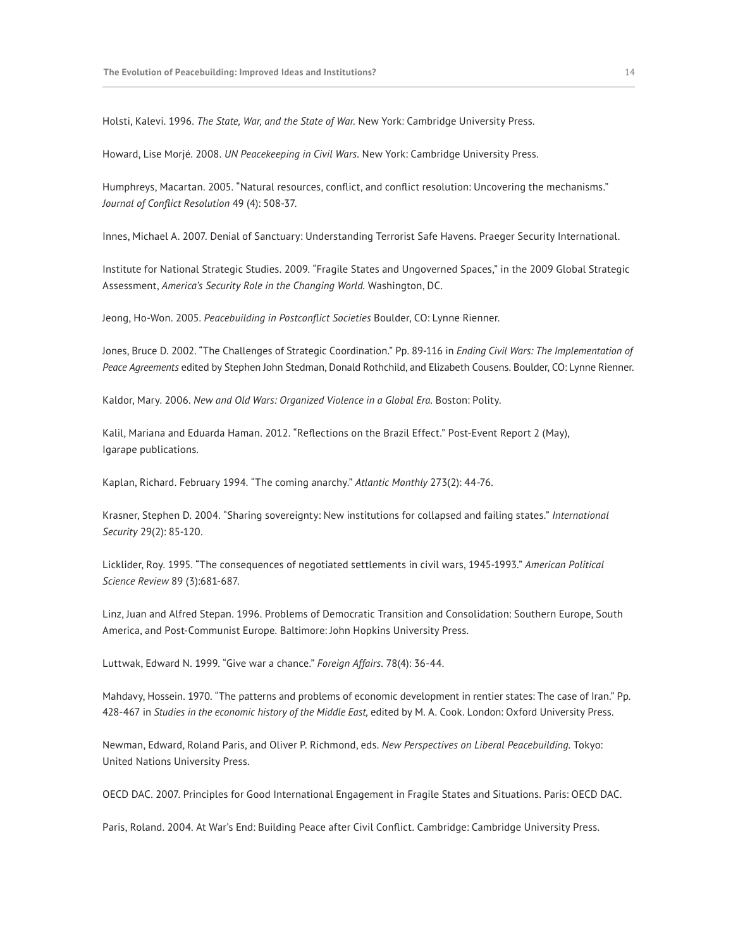Holsti, Kalevi. 1996. *The State, War, and the State of War.* New York: Cambridge University Press.

Howard, Lise Morjé. 2008. *UN Peacekeeping in Civil Wars.* New York: Cambridge University Press.

Humphreys, Macartan. 2005. "Natural resources, conflict, and conflict resolution: Uncovering the mechanisms." *Journal of Conflict Resolution* 49 (4): 508-37.

Innes, Michael A. 2007. Denial of Sanctuary: Understanding Terrorist Safe Havens. Praeger Security International.

Institute for National Strategic Studies. 2009. "Fragile States and Ungoverned Spaces," in the 2009 Global Strategic Assessment, *America's Security Role in the Changing World.* Washington, DC.

Jeong, Ho-Won. 2005. *Peacebuilding in Postconflict Societies* Boulder, CO: Lynne Rienner.

Jones, Bruce D. 2002. "The Challenges of Strategic Coordination." Pp. 89-116 in *Ending Civil Wars: The Implementation of Peace Agreements* edited by Stephen John Stedman, Donald Rothchild, and Elizabeth Cousens. Boulder, CO: Lynne Rienner.

Kaldor, Mary. 2006. *New and Old Wars: Organized Violence in a Global Era.* Boston: Polity.

Kalil, Mariana and Eduarda Haman. 2012. "Reflections on the Brazil Effect." Post-Event Report 2 (May), Igarape publications.

Kaplan, Richard. February 1994. "The coming anarchy." *Atlantic Monthly* 273(2): 44-76.

Krasner, Stephen D. 2004. "Sharing sovereignty: New institutions for collapsed and failing states." *International Security* 29(2): 85-120.

Licklider, Roy. 1995. "The consequences of negotiated settlements in civil wars, 1945-1993." *American Political Science Review* 89 (3):681-687.

Linz, Juan and Alfred Stepan. 1996. Problems of Democratic Transition and Consolidation: Southern Europe, South America, and Post-Communist Europe. Baltimore: John Hopkins University Press.

Luttwak, Edward N. 1999. "Give war a chance." *Foreign Affairs.* 78(4): 36-44.

Mahdavy, Hossein. 1970. "The patterns and problems of economic development in rentier states: The case of Iran." Pp. 428-467 in *Studies in the economic history of the Middle East,* edited by M. A. Cook. London: Oxford University Press.

Newman, Edward, Roland Paris, and Oliver P. Richmond, eds. *New Perspectives on Liberal Peacebuilding.* Tokyo: United Nations University Press.

OECD DAC. 2007. Principles for Good International Engagement in Fragile States and Situations. Paris: OECD DAC.

Paris, Roland. 2004. At War's End: Building Peace after Civil Conflict. Cambridge: Cambridge University Press.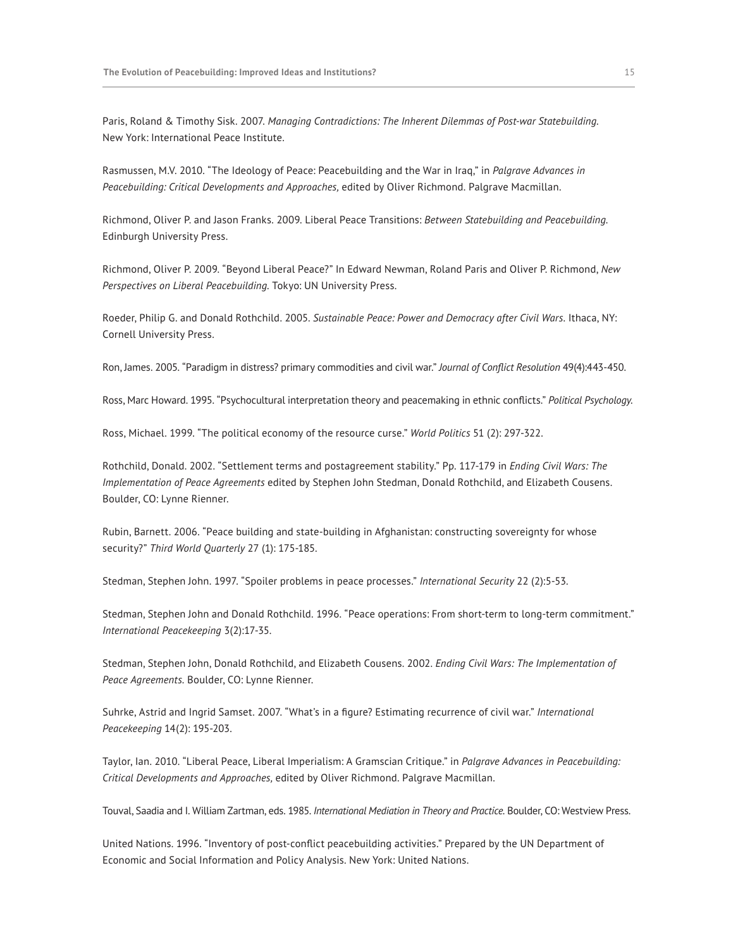Paris, Roland & Timothy Sisk. 2007. *Managing Contradictions: The Inherent Dilemmas of Post-war Statebuilding.* New York: International Peace Institute.

Rasmussen, M.V. 2010. "The Ideology of Peace: Peacebuilding and the War in Iraq," in *Palgrave Advances in Peacebuilding: Critical Developments and Approaches,* edited by Oliver Richmond. Palgrave Macmillan.

Richmond, Oliver P. and Jason Franks. 2009. Liberal Peace Transitions: *Between Statebuilding and Peacebuilding.* Edinburgh University Press.

Richmond, Oliver P. 2009. "Beyond Liberal Peace?" In Edward Newman, Roland Paris and Oliver P. Richmond, *New Perspectives on Liberal Peacebuilding.* Tokyo: UN University Press.

Roeder, Philip G. and Donald Rothchild. 2005. *Sustainable Peace: Power and Democracy after Civil Wars.* Ithaca, NY: Cornell University Press.

Ron, James. 2005. "Paradigm in distress? primary commodities and civil war." *Journal of Conflict Resolution* 49(4):443-450.

Ross, Marc Howard. 1995. "Psychocultural interpretation theory and peacemaking in ethnic conflicts." *Political Psychology.* 

Ross, Michael. 1999. "The political economy of the resource curse." *World Politics* 51 (2): 297-322.

Rothchild, Donald. 2002. "Settlement terms and postagreement stability." Pp. 117-179 in *Ending Civil Wars: The Implementation of Peace Agreements* edited by Stephen John Stedman, Donald Rothchild, and Elizabeth Cousens. Boulder, CO: Lynne Rienner.

Rubin, Barnett. 2006. "Peace building and state-building in Afghanistan: constructing sovereignty for whose security?" *Third World Quarterly* 27 (1): 175-185.

Stedman, Stephen John. 1997. "Spoiler problems in peace processes." *International Security* 22 (2):5-53.

Stedman, Stephen John and Donald Rothchild. 1996. "Peace operations: From short-term to long-term commitment." *International Peacekeeping* 3(2):17-35.

Stedman, Stephen John, Donald Rothchild, and Elizabeth Cousens. 2002. *Ending Civil Wars: The Implementation of Peace Agreements.* Boulder, CO: Lynne Rienner.

Suhrke, Astrid and Ingrid Samset. 2007. "What's in a figure? Estimating recurrence of civil war." *International Peacekeeping* 14(2): 195-203.

Taylor, Ian. 2010. "Liberal Peace, Liberal Imperialism: A Gramscian Critique." in *Palgrave Advances in Peacebuilding: Critical Developments and Approaches,* edited by Oliver Richmond. Palgrave Macmillan.

Touval, Saadia and I. William Zartman, eds. 1985. *International Mediation in Theory and Practice.* Boulder, CO: Westview Press.

United Nations. 1996. "Inventory of post-conflict peacebuilding activities." Prepared by the UN Department of Economic and Social Information and Policy Analysis. New York: United Nations.